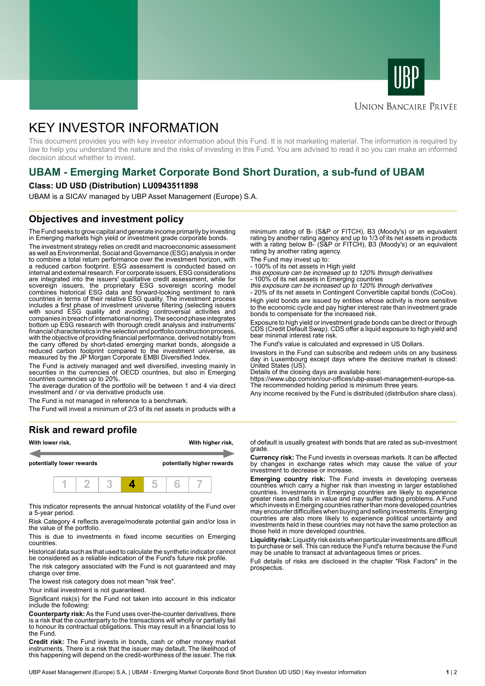



## **UNION BANCAIRE PRIVÉE**

# KEY INVESTOR INFORMATION

This document provides you with key investor information about this Fund. It is not marketing material. The information is required by law to help you understand the nature and the risks of investing in this Fund. You are advised to read it so you can make an informed decision about whether to invest.

# **UBAM - Emerging Market Corporate Bond Short Duration, a sub-fund of UBAM**

#### **Class: UD USD (Distribution) LU0943511898**

UBAM is a SICAV managed by UBP Asset Management (Europe) S.A.

# **Objectives and investment policy**

The Fund seeks to grow capital and generate income primarily by investing in Emerging markets high yield or investment grade corporate bonds.

The investment strategy relies on credit and macroeconomic assessment as well as Environmental, Social and Governance (ESG) analysis in order to combine a total return performance over the investment horizon, with a reduced carbon footprint. ESG assessment is conducted based on internal and external research. For corporate issuers, ESG considerations are integrated into the issuers' qualitative credit assessment, while for sovereign issuers, the proprietary ESG sovereign scoring model combines historical ESG data and forward-looking sentiment to rank countries in terms of their relative ESG quality. The investment process includes a first phase of investment universe filtering (selecting issuers with sound ESG quality and avoiding controversial activities and companies in breach of international norms). The second phase integrates bottom up ESG research with thorough credit analysis and instruments' financial characteristics in the selection and portfolio construction process, with the objective of providing financial performance, derived notably from the carry offered by short-dated emerging market bonds, alongside a reduced carbon footprint compared to the investment universe, as measured by the JP Morgan Corporate EMBI Diversified Index.

The Fund is actively managed and well diversified, investing mainly in securities in the currencies of OECD countries, but also in Emerging countries currencies up to 20%.

The average duration of the portfolio will be between 1 and 4 via direct investment and / or via derivative products use.

The Fund is not managed in reference to a benchmark.

The Fund will invest a minimum of 2/3 of its net assets in products with a

### **Risk and reward profile**



This indicator represents the annual historical volatility of the Fund over a 5-year period.

Risk Category 4 reflects average/moderate potential gain and/or loss in the value of the portfolio.

This is due to investments in fixed income securities on Emerging countries.

Historical data such as that used to calculate the synthetic indicator cannot be considered as a reliable indication of the Fund's future risk profile.

The risk category associated with the Fund is not guaranteed and may change over time.

The lowest risk category does not mean "risk free".

Your initial investment is not guaranteed.

Significant risk(s) for the Fund not taken into account in this indicator include the following:

**Counterparty risk:** As the Fund uses over-the-counter derivatives, there is a risk that the counterparty to the transactions will wholly or partially fail to honour its contractual obligations. This may result in a financial loss to the Fund.

**Credit risk:** The Fund invests in bonds, cash or other money market instruments. There is a risk that the issuer may default. The likelihood of this happening will depend on the credit-worthiness of the issuer. The risk

minimum rating of B- (S&P or FITCH), B3 (Moody's) or an equivalent rating by another rating agency and up to 1/3 of its net assets in products with a rating below B- (S&P or FITCH), B3 (Moody's) or an equivalent rating by another rating agency.

The Fund may invest up to:

- 100% of its net assets in High yield this exposure can be increased up to 120% through derivatives

- 100% of its net assets in Emerging countries<br>*this exposure can be increased up to 120% through derivatives*<br>- 20% of its net assets in Contingent Convertible capital bonds (CoCos).

High yield bonds are issued by entities whose activity is more sensitive to the economic cycle and pay higher interest rate than investment grade bonds to compensate for the increased risk.

Exposure to high yield or investment grade bonds can be direct or through CDS (Credit Default Swap). CDS offer a liquid exposure to high yield and bear minimal interest rate risk.

The Fund's value is calculated and expressed in US Dollars.

Investors in the Fund can subscribe and redeem units on any business day in Luxembourg except days where the decisive market is closed: United States (US).

Details of the closing days are available here:

https://www.ubp.com/en/our-offices/ubp-asset-management-europe-sa. The recommended holding period is minimum three years.

Any income received by the Fund is distributed (distribution share class).

of default is usually greatest with bonds that are rated as sub-investment grade.

**Currency risk:** The Fund invests in overseas markets. It can be affected by changes in exchange rates which may cause the value of your investment to decrease or increase.

**Emerging country risk:** The Fund invests in developing overseas countries which carry a higher risk than investing in larger established countries. Investments in Emerging countries are likely to experience greater rises and falls in value and may suffer trading problems. A Fund which invests in Emerging countries rather than more developed countries may encounter difficulties when buying and selling investments. Emerging countries are also more likely to experience political uncertainty and investments held in these countries may not have the same protection as those held in more developed countries.

**Liquidity risk:** Liquidity risk exists when particular investments are difficult to purchase or sell. This can reduce the Fund's returns because the Fund may be unable to transact at advantageous times or prices.

Full details of risks are disclosed in the chapter "Risk Factors" in the prospectus.